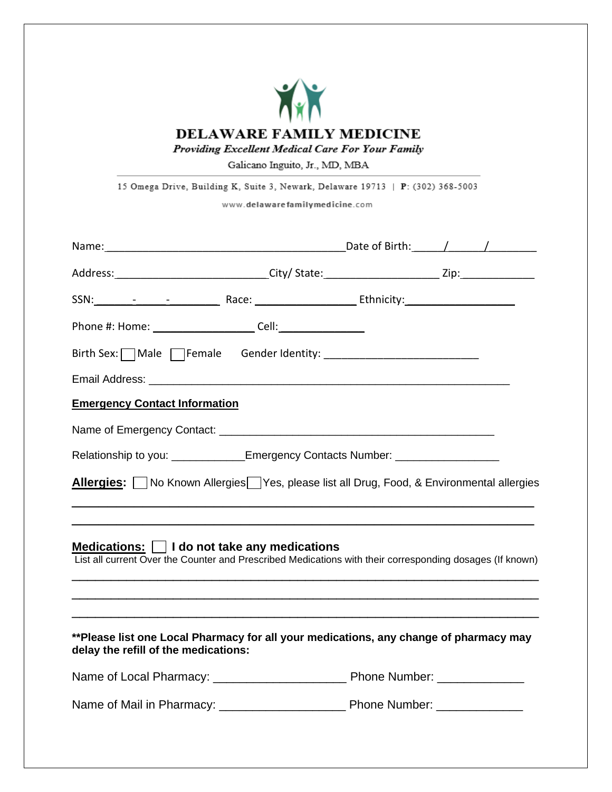

Galicano Inguito, Jr., MD, MBA

15 Omega Drive, Building K, Suite 3, Newark, Delaware 19713 | P: (302) 368-5003

www.delawarefamilymedicine.com

| Address: ________________________________City/ State: ___________________________Zip: ___________________                                                                                                                      |  |  |  |  |  |  |  |  |  |
|--------------------------------------------------------------------------------------------------------------------------------------------------------------------------------------------------------------------------------|--|--|--|--|--|--|--|--|--|
| SSN: Notice and Association and Association and Association and Association and Association and Association and Association and Association and Association and Association and Association and Association and Association an |  |  |  |  |  |  |  |  |  |
| Phone #: Home: _________________________Cell: __________________________________                                                                                                                                               |  |  |  |  |  |  |  |  |  |
|                                                                                                                                                                                                                                |  |  |  |  |  |  |  |  |  |
|                                                                                                                                                                                                                                |  |  |  |  |  |  |  |  |  |
| <b>Emergency Contact Information</b>                                                                                                                                                                                           |  |  |  |  |  |  |  |  |  |
|                                                                                                                                                                                                                                |  |  |  |  |  |  |  |  |  |
| Relationship to you: _____________Emergency Contacts Number: ___________________                                                                                                                                               |  |  |  |  |  |  |  |  |  |
| <b>Allergies:</b> No Known Allergies Yes, please list all Drug, Food, & Environmental allergies                                                                                                                                |  |  |  |  |  |  |  |  |  |
| Medications: $\Box$ I do not take any medications<br>List all current Over the Counter and Prescribed Medications with their corresponding dosages (If known)                                                                  |  |  |  |  |  |  |  |  |  |
| **Please list one Local Pharmacy for all your medications, any change of pharmacy may<br>delay the refill of the medications:                                                                                                  |  |  |  |  |  |  |  |  |  |
|                                                                                                                                                                                                                                |  |  |  |  |  |  |  |  |  |
|                                                                                                                                                                                                                                |  |  |  |  |  |  |  |  |  |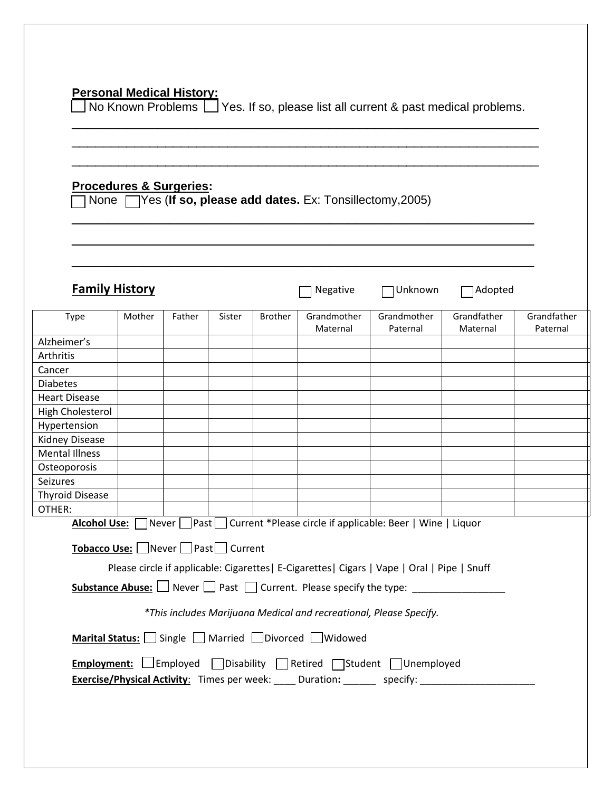#### **Personal Medical History:**

 $\Box$  No Known Problems  $\Box$  Yes. If so, please list all current & past medical problems.

\_\_\_\_\_\_\_\_\_\_\_\_\_\_\_\_\_\_\_\_\_\_\_\_\_\_\_\_\_\_\_\_\_\_\_\_\_\_\_\_\_\_\_\_\_\_\_\_\_\_\_\_\_\_\_\_\_\_\_\_ \_\_\_\_\_\_\_\_\_\_\_\_\_\_\_\_\_\_\_\_\_\_\_\_\_\_\_\_\_\_\_\_\_\_\_\_\_\_\_\_\_\_\_\_\_\_\_\_\_\_\_\_\_\_\_\_\_\_\_\_ \_\_\_\_\_\_\_\_\_\_\_\_\_\_\_\_\_\_\_\_\_\_\_\_\_\_\_\_\_\_\_\_\_\_\_\_\_\_\_\_\_\_\_\_\_\_\_\_\_\_\_\_\_\_\_\_\_\_\_\_

\_\_\_\_\_\_\_\_\_\_\_\_\_\_\_\_\_\_\_\_\_\_\_\_\_\_\_\_\_\_\_\_\_\_\_\_\_\_\_\_\_\_\_\_\_\_\_\_\_\_\_\_

## **Procedures & Surgeries:**

None Yes (**If so, please add dates.** Ex: Tonsillectomy,2005)

|                                                                                                    | <b>Family History</b> |        |        |                | Negative                                                           | Unknown                                                                                   | Adopted                 |                         |
|----------------------------------------------------------------------------------------------------|-----------------------|--------|--------|----------------|--------------------------------------------------------------------|-------------------------------------------------------------------------------------------|-------------------------|-------------------------|
| Type                                                                                               | Mother                | Father | Sister | <b>Brother</b> | Grandmother<br>Maternal                                            | Grandmother<br>Paternal                                                                   | Grandfather<br>Maternal | Grandfather<br>Paternal |
| Alzheimer's                                                                                        |                       |        |        |                |                                                                    |                                                                                           |                         |                         |
| Arthritis                                                                                          |                       |        |        |                |                                                                    |                                                                                           |                         |                         |
| Cancer                                                                                             |                       |        |        |                |                                                                    |                                                                                           |                         |                         |
| <b>Diabetes</b>                                                                                    |                       |        |        |                |                                                                    |                                                                                           |                         |                         |
| <b>Heart Disease</b>                                                                               |                       |        |        |                |                                                                    |                                                                                           |                         |                         |
| High Cholesterol                                                                                   |                       |        |        |                |                                                                    |                                                                                           |                         |                         |
| Hypertension                                                                                       |                       |        |        |                |                                                                    |                                                                                           |                         |                         |
| <b>Kidney Disease</b>                                                                              |                       |        |        |                |                                                                    |                                                                                           |                         |                         |
| <b>Mental Illness</b>                                                                              |                       |        |        |                |                                                                    |                                                                                           |                         |                         |
| Osteoporosis                                                                                       |                       |        |        |                |                                                                    |                                                                                           |                         |                         |
| <b>Seizures</b>                                                                                    |                       |        |        |                |                                                                    |                                                                                           |                         |                         |
| <b>Thyroid Disease</b>                                                                             |                       |        |        |                |                                                                    |                                                                                           |                         |                         |
| OTHER:                                                                                             |                       |        |        |                |                                                                    |                                                                                           |                         |                         |
|                                                                                                    |                       |        |        |                |                                                                    | Alcohol Use: Never Past Current *Please circle if applicable: Beer   Wine   Liquor        |                         |                         |
| Tobacco Use: □ Never □ Past□ Current                                                               |                       |        |        |                |                                                                    |                                                                                           |                         |                         |
| Please circle if applicable: Cigarettes  E-Cigarettes  Cigars   Vape   Oral   Pipe   Snuff         |                       |        |        |                |                                                                    |                                                                                           |                         |                         |
|                                                                                                    |                       |        |        |                |                                                                    | <b>Substance Abuse:</b> $\Box$ Never $\Box$ Past $\Box$ Current. Please specify the type: |                         |                         |
|                                                                                                    |                       |        |        |                | *This includes Marijuana Medical and recreational, Please Specify. |                                                                                           |                         |                         |
|                                                                                                    |                       |        |        |                |                                                                    |                                                                                           |                         |                         |
|                                                                                                    |                       |        |        |                | Marital Status: Single Married Divorced Widowed                    |                                                                                           |                         |                         |
|                                                                                                    |                       |        |        |                |                                                                    | Employment: Femployed Disability Retired Student Unemployed                               |                         |                         |
| <b>Exercise/Physical Activity:</b> Times per week: _____ Duration: _______ specify: ______________ |                       |        |        |                |                                                                    |                                                                                           |                         |                         |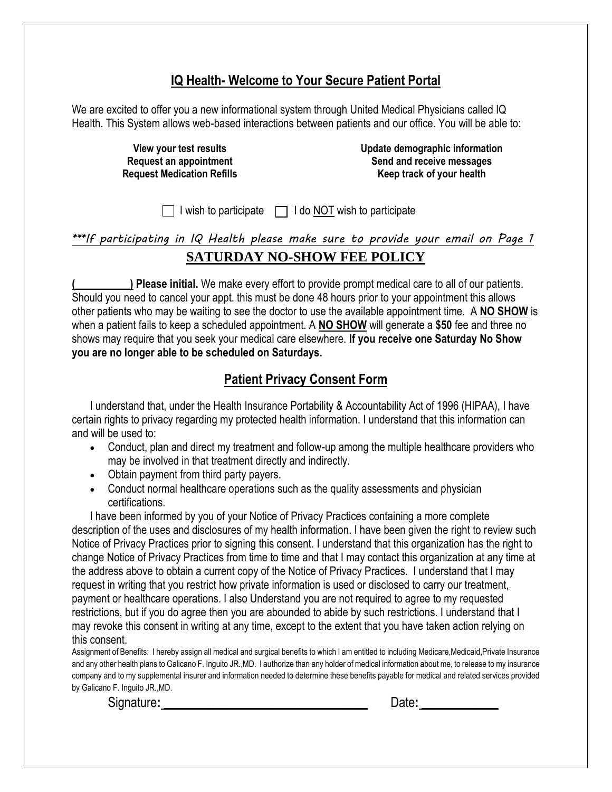### **IQ Health- Welcome to Your Secure Patient Portal**

We are excited to offer you a new informational system through United Medical Physicians called IQ Health. This System allows web-based interactions between patients and our office. You will be able to:

> **View your test results Request an appointment Request Medication Refills**

**Update demographic information Send and receive messages Keep track of your health**

 $\Box$  I wish to participate  $\Box$  I do NOT wish to participate

*\*\*\*If participating in IQ Health please make sure to provide your email on Page 1* **SATURDAY NO-SHOW FEE POLICY**

**(\_\_\_**\_\_\_\_\_\_\_**) Please initial.** We make every effort to provide prompt medical care to all of our patients. Should you need to cancel your appt. this must be done 48 hours prior to your appointment this allows other patients who may be waiting to see the doctor to use the available appointment time. A **NO SHOW** is when a patient fails to keep a scheduled appointment. A **NO SHOW** will generate a **\$50** fee and three no shows may require that you seek your medical care elsewhere. **If you receive one Saturday No Show you are no longer able to be scheduled on Saturdays.**

#### **Patient Privacy Consent Form**

I understand that, under the Health Insurance Portability & Accountability Act of 1996 (HIPAA), I have certain rights to privacy regarding my protected health information. I understand that this information can and will be used to:

- Conduct, plan and direct my treatment and follow-up among the multiple healthcare providers who may be involved in that treatment directly and indirectly.
- Obtain payment from third party payers.
- Conduct normal healthcare operations such as the quality assessments and physician certifications.

I have been informed by you of your Notice of Privacy Practices containing a more complete description of the uses and disclosures of my health information. I have been given the right to review such Notice of Privacy Practices prior to signing this consent. I understand that this organization has the right to change Notice of Privacy Practices from time to time and that I may contact this organization at any time at the address above to obtain a current copy of the Notice of Privacy Practices. I understand that I may request in writing that you restrict how private information is used or disclosed to carry our treatment, payment or healthcare operations. I also Understand you are not required to agree to my requested restrictions, but if you do agree then you are abounded to abide by such restrictions. I understand that I may revoke this consent in writing at any time, except to the extent that you have taken action relying on this consent.

Assignment of Benefits: I hereby assign all medical and surgical benefits to which I am entitled to including Medicare,Medicaid,Private Insurance and any other health plans to Galicano F. Inguito JR.,MD. I authorize than any holder of medical information about me, to release to my insurance company and to my supplemental insurer and information needed to determine these benefits payable for medical and related services provided by Galicano F. Inguito JR.,MD.

Signature: **Constant Constant Constant Constant Constant Constant Constant Constant Constant Constant Constant Constant Constant Constant Constant Constant Constant Constant Constant Constant Constant Constant Constant Con**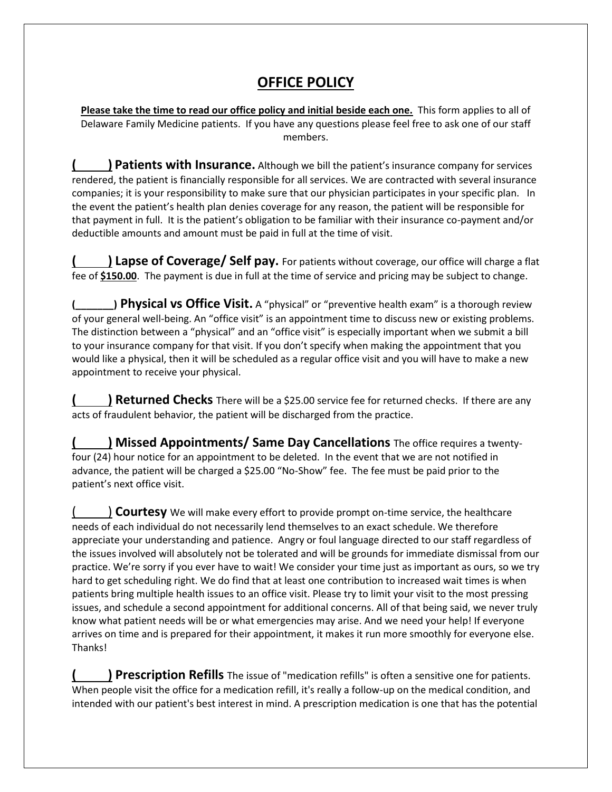# **OFFICE POLICY**

**Please take the time to read our office policy and initial beside each one.** This form applies to all of Delaware Family Medicine patients. If you have any questions please feel free to ask one of our staff members.

**( ) Patients with Insurance.** Although we bill the patient's insurance company for services rendered, the patient is financially responsible for all services. We are contracted with several insurance companies; it is your responsibility to make sure that our physician participates in your specific plan. In the event the patient's health plan denies coverage for any reason, the patient will be responsible for that payment in full. It is the patient's obligation to be familiar with their insurance co-payment and/or deductible amounts and amount must be paid in full at the time of visit.

**( ) Lapse of Coverage/ Self pay.** For patients without coverage, our office will charge a flat fee of **\$150.00**. The payment is due in full at the time of service and pricing may be subject to change.

**(\_\_\_\_\_\_\_) Physical vs Office Visit.** A "physical" or "preventive health exam" is a thorough review of your general well-being. An "office visit" is an appointment time to discuss new or existing problems. The distinction between a "physical" and an "office visit" is especially important when we submit a bill to your insurance company for that visit. If you don't specify when making the appointment that you would like a physical, then it will be scheduled as a regular office visit and you will have to make a new appointment to receive your physical.

**( ) Returned Checks** There will be a \$25.00 service fee for returned checks. If there are any acts of fraudulent behavior, the patient will be discharged from the practice.

**( ) Missed Appointments/ Same Day Cancellations** The office requires a twentyfour (24) hour notice for an appointment to be deleted. In the event that we are not notified in advance, the patient will be charged a \$25.00 "No-Show" fee. The fee must be paid prior to the patient's next office visit.

( ) **Courtesy** We will make every effort to provide prompt on-time service, the healthcare needs of each individual do not necessarily lend themselves to an exact schedule. We therefore appreciate your understanding and patience. Angry or foul language directed to our staff regardless of the issues involved will absolutely not be tolerated and will be grounds for immediate dismissal from our practice. We're sorry if you ever have to wait! We consider your time just as important as ours, so we try hard to get scheduling right. We do find that at least one contribution to increased wait times is when patients bring multiple health issues to an office visit. Please try to limit your visit to the most pressing issues, and schedule a second appointment for additional concerns. All of that being said, we never truly know what patient needs will be or what emergencies may arise. And we need your help! If everyone arrives on time and is prepared for their appointment, it makes it run more smoothly for everyone else. Thanks!

**( ) Prescription Refills** The issue of "medication refills" is often a sensitive one for patients. When people visit the office for a medication refill, it's really a follow-up on the medical condition, and intended with our patient's best interest in mind. A prescription medication is one that has the potential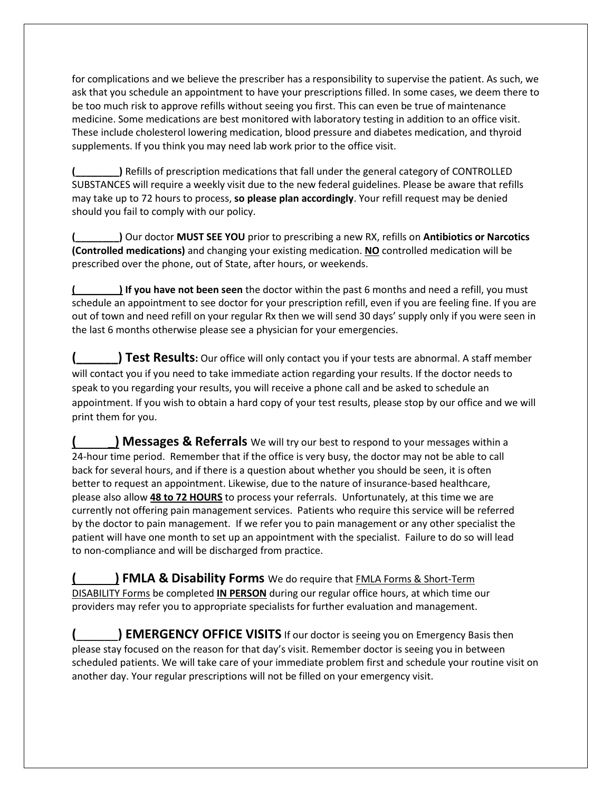for complications and we believe the prescriber has a responsibility to supervise the patient. As such, we ask that you schedule an appointment to have your prescriptions filled. In some cases, we deem there to be too much risk to approve refills without seeing you first. This can even be true of maintenance medicine. Some medications are best monitored with laboratory testing in addition to an office visit. These include cholesterol lowering medication, blood pressure and diabetes medication, and thyroid supplements. If you think you may need lab work prior to the office visit.

**(\_\_\_\_\_\_\_\_)** Refills of prescription medications that fall under the general category of CONTROLLED SUBSTANCES will require a weekly visit due to the new federal guidelines. Please be aware that refills may take up to 72 hours to process, **so please plan accordingly**. Your refill request may be denied should you fail to comply with our policy.

**(\_\_\_\_\_\_\_\_)** Our doctor **MUST SEE YOU** prior to prescribing a new RX, refills on **Antibiotics or Narcotics (Controlled medications)** and changing your existing medication. **NO** controlled medication will be prescribed over the phone, out of State, after hours, or weekends.

**(\_\_\_\_\_\_\_\_) If you have not been seen** the doctor within the past 6 months and need a refill, you must schedule an appointment to see doctor for your prescription refill, even if you are feeling fine. If you are out of town and need refill on your regular Rx then we will send 30 days' supply only if you were seen in the last 6 months otherwise please see a physician for your emergencies.

**(\_\_\_\_\_\_) Test Results:** Our office will only contact you if your tests are abnormal. A staff member will contact you if you need to take immediate action regarding your results. If the doctor needs to speak to you regarding your results, you will receive a phone call and be asked to schedule an appointment. If you wish to obtain a hard copy of your test results, please stop by our office and we will print them for you.

**() Messages & Referrals** We will try our best to respond to your messages within a 24-hour time period. Remember that if the office is very busy, the doctor may not be able to call back for several hours, and if there is a question about whether you should be seen, it is often better to request an appointment. Likewise, due to the nature of insurance-based healthcare, please also allow **48 to 72 HOURS** to process your referrals. Unfortunately, at this time we are currently not offering pain management services. Patients who require this service will be referred by the doctor to pain management. If we refer you to pain management or any other specialist the patient will have one month to set up an appointment with the specialist. Failure to do so will lead to non-compliance and will be discharged from practice.

**(** \_**) FMLA & Disability Forms** We do require that FMLA Forms & Short-Term DISABILITY Forms be completed **IN PERSON** during our regular office hours, at which time our providers may refer you to appropriate specialists for further evaluation and management.

**(**) **EMERGENCY OFFICE VISITS** If our doctor is seeing you on Emergency Basis then please stay focused on the reason for that day's visit. Remember doctor is seeing you in between scheduled patients. We will take care of your immediate problem first and schedule your routine visit on another day. Your regular prescriptions will not be filled on your emergency visit.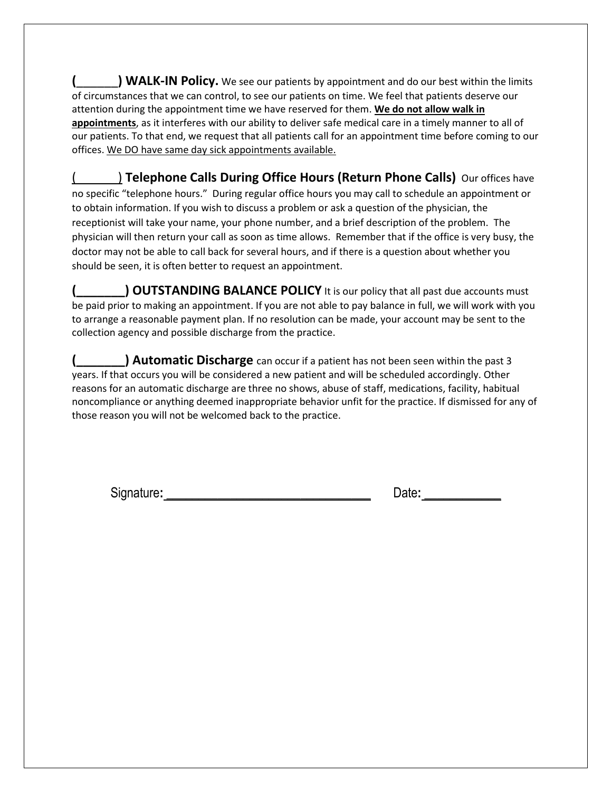**(**\_\_\_\_\_\_**) WALK-IN Policy.** We see our patients by appointment and do our best within the limits of circumstances that we can control, to see our patients on time. We feel that patients deserve our attention during the appointment time we have reserved for them. **We do not allow walk in appointments**, as it interferes with our ability to deliver safe medical care in a timely manner to all of our patients. To that end, we request that all patients call for an appointment time before coming to our offices. We DO have same day sick appointments available.

) **Telephone Calls During Office Hours (Return Phone Calls)** Our offices have no specific "telephone hours." During regular office hours you may call to schedule an appointment or to obtain information. If you wish to discuss a problem or ask a question of the physician, the receptionist will take your name, your phone number, and a brief description of the problem. The physician will then return your call as soon as time allows. Remember that if the office is very busy, the doctor may not be able to call back for several hours, and if there is a question about whether you should be seen, it is often better to request an appointment.

**(CUTSTANDING BALANCE POLICY** It is our policy that all past due accounts must be paid prior to making an appointment. If you are not able to pay balance in full, we will work with you to arrange a reasonable payment plan. If no resolution can be made, your account may be sent to the collection agency and possible discharge from the practice.

**(\_\_\_\_\_\_\_) Automatic Discharge** can occur if a patient has not been seen within the past 3 years. If that occurs you will be considered a new patient and will be scheduled accordingly. Other reasons for an automatic discharge are three no shows, abuse of staff, medications, facility, habitual noncompliance or anything deemed inappropriate behavior unfit for the practice. If dismissed for any of those reason you will not be welcomed back to the practice.

Signature: **Date: Date: Date: Date: Date: Date: Date: Date: Date: Date: Date: Date: Date: Date: Date: Date: Date: Date: Date: Date: Dete: Date: Dete: Dete: Dete: Dete: De**